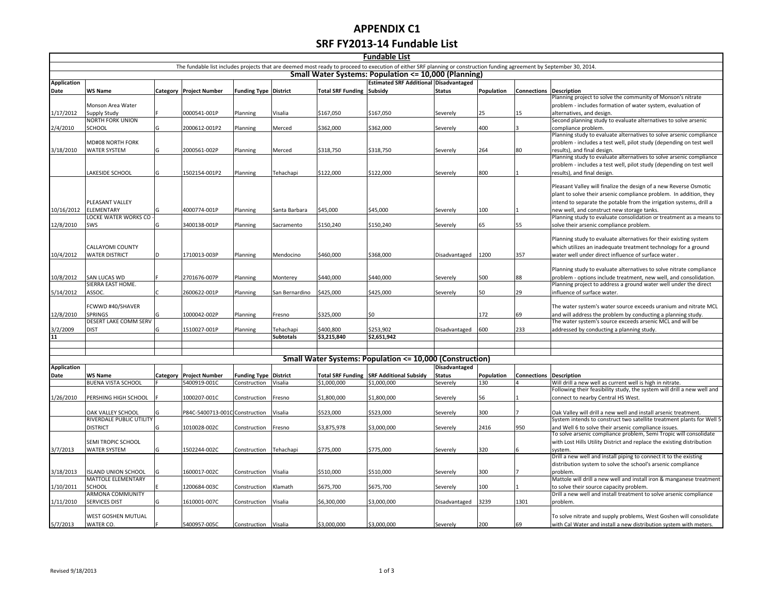## **APPENDIX C1 SRF FY2013-14 Fundable List**

|                    |                                             |     |                                |                              |                  |                                  | <b>Fundable List</b>                                                                                                                                                   |               |            |                         |                                                                                                                                            |
|--------------------|---------------------------------------------|-----|--------------------------------|------------------------------|------------------|----------------------------------|------------------------------------------------------------------------------------------------------------------------------------------------------------------------|---------------|------------|-------------------------|--------------------------------------------------------------------------------------------------------------------------------------------|
|                    |                                             |     |                                |                              |                  |                                  | The fundable list includes projects that are deemed most ready to proceed to execution of either SRF planning or construction funding agreement by September 30, 2014. |               |            |                         |                                                                                                                                            |
|                    |                                             |     |                                |                              |                  |                                  | Small Water Systems: Population <= 10,000 (Planning)                                                                                                                   |               |            |                         |                                                                                                                                            |
| <b>Application</b> |                                             |     |                                |                              |                  |                                  | <b>Estimated SRF Additional Disadvantaged</b>                                                                                                                          |               |            |                         |                                                                                                                                            |
| Date               | WS Name                                     |     | Category Project Number        | <b>Funding Type District</b> |                  | <b>Total SRF Funding Subsidy</b> |                                                                                                                                                                        | <b>Status</b> | Population | Connections Description | Planning project to solve the community of Monson's nitrate                                                                                |
|                    | Monson Area Water                           |     |                                |                              |                  |                                  |                                                                                                                                                                        |               |            |                         | problem - includes formation of water system, evaluation of                                                                                |
| 1/17/2012          | Supply Study                                |     | 0000541-001P                   | Planning                     | Visalia          | \$167,050                        | \$167,050                                                                                                                                                              | Severely      | 25         | 15                      | alternatives, and design.                                                                                                                  |
|                    | <b>NORTH FORK UNION</b>                     |     |                                |                              |                  |                                  |                                                                                                                                                                        |               |            |                         | Second planning study to evaluate alternatives to solve arsenic                                                                            |
| 2/4/2010           | SCHOOL                                      | G   | 2000612-001P2                  | Planning                     | Merced           | \$362,000                        | \$362,000                                                                                                                                                              | Severely      | 400        |                         | compliance problem.                                                                                                                        |
|                    |                                             |     |                                |                              |                  |                                  |                                                                                                                                                                        |               |            |                         | Planning study to evaluate alternatives to solve arsenic compliance                                                                        |
|                    | MD#08 NORTH FORK                            |     |                                |                              |                  |                                  |                                                                                                                                                                        |               |            |                         | problem - includes a test well, pilot study (depending on test well                                                                        |
| 3/18/2010          | WATER SYSTEM                                | G   | 2000561-002P                   | Planning                     | Merced           | \$318,750                        | \$318,750                                                                                                                                                              | Severely      | 264        | 80                      | results), and final design.                                                                                                                |
|                    |                                             |     |                                |                              |                  |                                  |                                                                                                                                                                        |               |            |                         | Planning study to evaluate alternatives to solve arsenic compliance<br>problem - includes a test well, pilot study (depending on test well |
|                    | LAKESIDE SCHOOL                             | G   | 1502154-001P2                  | Planning                     | Tehachapi        | \$122,000                        | \$122,000                                                                                                                                                              | Severely      | 800        |                         | results), and final design.                                                                                                                |
|                    |                                             |     |                                |                              |                  |                                  |                                                                                                                                                                        |               |            |                         |                                                                                                                                            |
|                    |                                             |     |                                |                              |                  |                                  |                                                                                                                                                                        |               |            |                         | Pleasant Valley will finalize the design of a new Reverse Osmotic                                                                          |
|                    |                                             |     |                                |                              |                  |                                  |                                                                                                                                                                        |               |            |                         | plant to solve their arsenic compliance problem. In addition, they                                                                         |
|                    | PLEASANT VALLEY                             |     |                                |                              |                  |                                  |                                                                                                                                                                        |               |            |                         | intend to separate the potable from the irrigation systems, drill a                                                                        |
| 10/16/2012         | <b>ELEMENTARY</b>                           | G   | 4000774-001P                   | Planning                     | Santa Barbara    | \$45,000                         | \$45,000                                                                                                                                                               | Severely      | 100        |                         | new well, and construct new storage tanks.                                                                                                 |
|                    | LOCKE WATER WORKS CO                        |     |                                |                              |                  |                                  |                                                                                                                                                                        |               |            |                         | Planning study to evaluate consolidation or treatment as a means to                                                                        |
| 12/8/2010          | SWS                                         | lG  | 3400138-001P                   | Planning                     | Sacramento       | \$150,240                        | \$150,240                                                                                                                                                              | Severely      | 65         | 55                      | solve their arsenic compliance problem.                                                                                                    |
|                    |                                             |     |                                |                              |                  |                                  |                                                                                                                                                                        |               |            |                         | Planning study to evaluate alternatives for their existing system                                                                          |
|                    | CALLAYOMI COUNTY                            |     |                                |                              |                  |                                  |                                                                                                                                                                        |               |            |                         | which utilizes an inadequate treatment technology for a ground                                                                             |
| 10/4/2012          | <b>WATER DISTRICT</b>                       | ID. | 1710013-003P                   | Planning                     | Mendocino        | \$460,000                        | \$368,000                                                                                                                                                              | Disadvantaged | 1200       | 357                     | water well under direct influence of surface water.                                                                                        |
|                    |                                             |     |                                |                              |                  |                                  |                                                                                                                                                                        |               |            |                         |                                                                                                                                            |
|                    |                                             |     |                                |                              |                  |                                  |                                                                                                                                                                        |               |            |                         | Planning study to evaluate alternatives to solve nitrate compliance                                                                        |
| 10/8/2012          | SAN LUCAS WD                                |     | 2701676-007P                   | Planning                     | Monterey         | \$440,000                        | \$440,000                                                                                                                                                              | Severely      | 500        | 88                      | problem - options include treatment, new well, and consolidation.                                                                          |
|                    | SIERRA EAST HOME.                           |     |                                |                              |                  |                                  |                                                                                                                                                                        |               |            |                         | Planning project to address a ground water well under the direct                                                                           |
| 5/14/2012          | ASSOC.                                      |     | 2600622-001P                   | Planning                     | San Bernardino   | \$425,000                        | \$425,000                                                                                                                                                              | Severely      | 50         | 29                      | influence of surface water.                                                                                                                |
|                    | FCWWD #40/SHAVER                            |     |                                |                              |                  |                                  |                                                                                                                                                                        |               |            |                         | The water system's water source exceeds uranium and nitrate MCL                                                                            |
| 12/8/2010          | <b>SPRINGS</b>                              | G   | 1000042-002P                   | Planning                     | Fresno           | \$325,000                        | \$0                                                                                                                                                                    |               | 172        | 69                      | and will address the problem by conducting a planning study.                                                                               |
|                    | DESERT LAKE COMM SERV                       |     |                                |                              |                  |                                  |                                                                                                                                                                        |               |            |                         | The water system's source exceeds arsenic MCL and will be                                                                                  |
| 3/2/2009           | <b>DIST</b>                                 | lG  | 1510027-001P                   | Planning                     | Tehachapi        | \$400,800                        | \$253,902                                                                                                                                                              | Disadvantaged | 600        | 233                     | addressed by conducting a planning study.                                                                                                  |
| 11                 |                                             |     |                                |                              | <b>Subtotals</b> | \$3,215,840                      | \$2,651,942                                                                                                                                                            |               |            |                         |                                                                                                                                            |
|                    |                                             |     |                                |                              |                  |                                  |                                                                                                                                                                        |               |            |                         |                                                                                                                                            |
|                    |                                             |     |                                |                              |                  |                                  | Small Water Systems: Population <= 10,000 (Construction)                                                                                                               |               |            |                         |                                                                                                                                            |
| <b>Application</b> |                                             |     |                                |                              |                  |                                  |                                                                                                                                                                        | Disadvantaged |            |                         |                                                                                                                                            |
| Date               | WS Name                                     |     | Category Project Number        | <b>Funding Type District</b> |                  |                                  | <b>Total SRF Funding SRF Additional Subsidy</b>                                                                                                                        | <b>Status</b> | Population | Connections Description |                                                                                                                                            |
|                    | <b>BUENA VISTA SCHOOL</b>                   |     | 5400919-001C                   | Construction                 | Visalia          | \$1,000,000                      | \$1,000,000                                                                                                                                                            | Severely      | 130        |                         | Will drill a new well as current well is high in nitrate.                                                                                  |
|                    |                                             |     |                                |                              |                  |                                  |                                                                                                                                                                        |               |            |                         | Following their feasibility study, the system will drill a new well and                                                                    |
| 1/26/2010          | PERSHING HIGH SCHOOL                        |     | 1000207-001C                   | Construction                 | Fresno           | \$1,800,000                      | \$1,800,000                                                                                                                                                            | Severely      | 56         |                         | connect to nearby Central HS West.                                                                                                         |
|                    |                                             |     |                                |                              |                  |                                  |                                                                                                                                                                        |               |            |                         |                                                                                                                                            |
|                    | OAK VALLEY SCHOOL                           | lG. | P84C-5400713-001C Construction |                              | Visalia          | \$523,000                        | \$523,000                                                                                                                                                              | Severely      | 300        |                         | Oak Valley will drill a new well and install arsenic treatment.                                                                            |
|                    | RIVERDALE PUBLIC UTILITY<br><b>DISTRICT</b> | lG  | 1010028-002C                   | Construction                 | Fresno           | \$3,875,978                      | \$3,000,000                                                                                                                                                            | Severely      | 2416       | 950                     | System intends to construct two satellite treatment plants for Well 5<br>and Well 6 to solve their arsenic compliance issues.              |
|                    |                                             |     |                                |                              |                  |                                  |                                                                                                                                                                        |               |            |                         | To solve arsenic compliance problem, Semi Tropic will consolidate                                                                          |
|                    | SEMI TROPIC SCHOOL                          |     |                                |                              |                  |                                  |                                                                                                                                                                        |               |            |                         | with Lost Hills Utility District and replace the existing distribution                                                                     |
| 3/7/2013           | <b>WATER SYSTEM</b>                         | lG  | 1502244-002C                   | Construction                 | Tehachapi        | \$775,000                        | \$775,000                                                                                                                                                              | Severely      | 320        |                         | system.                                                                                                                                    |
|                    |                                             |     |                                |                              |                  |                                  |                                                                                                                                                                        |               |            |                         | Drill a new well and install piping to connect it to the existing                                                                          |
|                    |                                             |     |                                |                              |                  |                                  |                                                                                                                                                                        |               |            |                         | distribution system to solve the school's arsenic compliance                                                                               |
| 3/18/2013          | <b>ISLAND UNION SCHOOL</b>                  | lG  | 1600017-002C                   | Construction                 | Visalia          | \$510,000                        | \$510,000                                                                                                                                                              | Severely      | 300        |                         | problem.                                                                                                                                   |
|                    | MATTOLE ELEMENTARY                          |     |                                |                              |                  |                                  |                                                                                                                                                                        |               |            |                         | Mattole will drill a new well and install iron & manganese treatment                                                                       |
| 1/10/2011          | SCHOOL<br>ARMONA COMMUNITY                  |     | 1200684-003C                   | Construction                 | Klamath          | \$675,700                        | \$675,700                                                                                                                                                              | Severely      | 100        |                         | to solve their source capacity problem.<br>Drill a new well and install treatment to solve arsenic compliance                              |
| 1/11/2010          | <b>SERVICES DIST</b>                        | lG  | 1610001-007C                   | Construction                 | Visalia          | \$6,300,000                      | \$3,000,000                                                                                                                                                            | Disadvantaged | 3239       | 1301                    | problem                                                                                                                                    |
|                    |                                             |     |                                |                              |                  |                                  |                                                                                                                                                                        |               |            |                         |                                                                                                                                            |
|                    | WEST GOSHEN MUTUAL                          |     |                                |                              |                  |                                  |                                                                                                                                                                        |               |            |                         | To solve nitrate and supply problems, West Goshen will consolidate                                                                         |
| 5/7/2013           | WATER CO.                                   |     | 5400957-005C                   | Construction Visalia         |                  | \$3,000,000                      | \$3,000,000                                                                                                                                                            | Severely      | 200        | 69                      | with Cal Water and install a new distribution system with meters.                                                                          |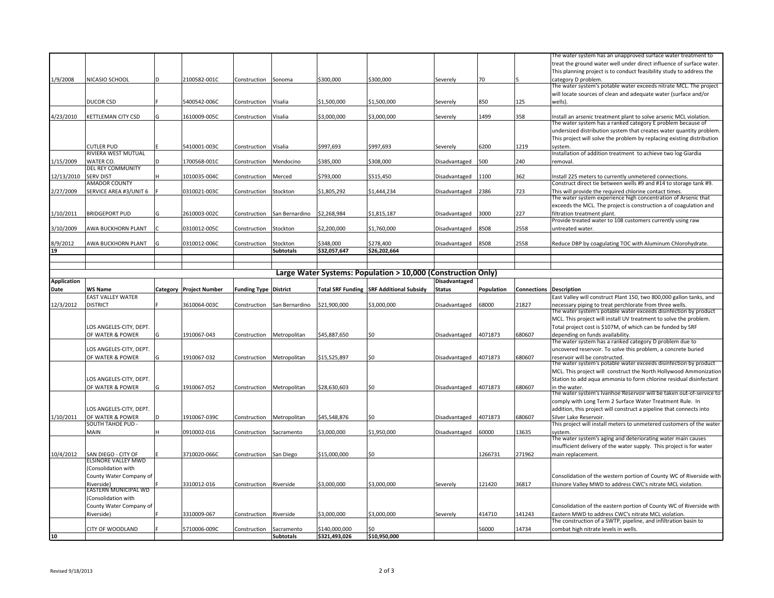|                    |                                             |     |                         |                              |                                |                                |                                                              |                      |            |                                | The water system has an unapproved surface water treatment to                                                                     |
|--------------------|---------------------------------------------|-----|-------------------------|------------------------------|--------------------------------|--------------------------------|--------------------------------------------------------------|----------------------|------------|--------------------------------|-----------------------------------------------------------------------------------------------------------------------------------|
|                    |                                             |     |                         |                              |                                |                                |                                                              |                      |            |                                | treat the ground water well under direct influence of surface water.                                                              |
|                    |                                             |     |                         |                              |                                |                                |                                                              |                      |            |                                | This planning project is to conduct feasibility study to address the                                                              |
| 1/9/2008           | NICASIO SCHOOL                              | ID  | 2100582-001C            | Construction                 | Sonoma                         | \$300,000                      | \$300,000                                                    | Severely             | 70         |                                | category D problem.                                                                                                               |
|                    |                                             |     |                         |                              |                                |                                |                                                              |                      |            |                                | The water system's potable water exceeds nitrate MCL. The project                                                                 |
|                    |                                             |     |                         |                              |                                |                                |                                                              |                      |            |                                | will locate sources of clean and adequate water (surface and/or                                                                   |
|                    | <b>DUCOR CSD</b>                            |     | 5400542-006C            | Construction                 | Visalia                        | \$1,500,000                    | \$1,500,000                                                  | Severely             | 850        | 125                            | wells).                                                                                                                           |
|                    | KETTLEMAN CITY CSD                          |     |                         |                              |                                |                                |                                                              |                      | 1499       |                                |                                                                                                                                   |
| 4/23/2010          |                                             |     | 1610009-005C            | Construction                 | Visalia                        | \$3,000,000                    | \$3,000,000                                                  | Severely             |            | 358                            | Install an arsenic treatment plant to solve arsenic MCL violation.<br>The water system has a ranked category E problem because of |
|                    |                                             |     |                         |                              |                                |                                |                                                              |                      |            |                                | undersized distribution system that creates water quantity problem.                                                               |
|                    |                                             |     |                         |                              |                                |                                |                                                              |                      |            |                                | This project will solve the problem by replacing existing distribution                                                            |
|                    | CUTLER PUD                                  |     | 5410001-003C            | Construction                 | Visalia                        | \$997,693                      | \$997,693                                                    | Severely             | 6200       | 1219                           | system.                                                                                                                           |
|                    | RIVIERA WEST MUTUAL                         |     |                         |                              |                                |                                |                                                              |                      |            |                                | Installation of addition treatment to achieve two log Giardia                                                                     |
| 1/15/2009          | WATER CO.                                   | ID. | 1700568-001C            | Construction                 | Mendocino                      | \$385,000                      | \$308,000                                                    | Disadvantaged        | 500        | 240                            | removal.                                                                                                                          |
|                    | DEL REY COMMUNITY                           |     |                         |                              |                                |                                |                                                              |                      |            |                                |                                                                                                                                   |
| 12/13/2010         | <b>SERV DIST</b>                            | н   | 1010035-004C            | Construction                 | Merced                         | \$793,000                      | \$515,450                                                    | Disadvantaged        | 1100       | 362                            | Install 225 meters to currently unmetered connections.                                                                            |
|                    | <b>AMADOR COUNTY</b>                        |     |                         |                              |                                |                                |                                                              |                      |            |                                | Construct direct tie between wells #9 and #14 to storage tank #9.                                                                 |
| 2/27/2009          | SERVICE AREA #3/UNIT 6                      |     | 0310021-003C            | Construction                 | Stockton                       | \$1,805,292                    | \$1,444,234                                                  | Disadvantaged        | 2386       | 723                            | This will provide the required chlorine contact times.                                                                            |
|                    |                                             |     |                         |                              |                                |                                |                                                              |                      |            |                                | The water system experience high concentration of Arsenic that                                                                    |
| 1/10/2011          | <b>BRIDGEPORT PUD</b>                       | lG  | 2610003-002C            |                              |                                | \$2,268,984                    | \$1,815,187                                                  |                      | 3000       | 227                            | exceeds the MCL. The project is construction a of coagulation and<br>filtration treatment plant.                                  |
|                    |                                             |     |                         | Construction                 | San Bernardino                 |                                |                                                              | Disadvantaged        |            |                                | Provide treated water to 108 customers currently using raw                                                                        |
| 3/10/2009          | AWA BUCKHORN PLANT                          |     | 0310012-005C            | Construction                 | Stockton                       | \$2,200,000                    | \$1,760,000                                                  | Disadvantaged        | 8508       | 2558                           | untreated water.                                                                                                                  |
|                    |                                             |     |                         |                              |                                |                                |                                                              |                      |            |                                |                                                                                                                                   |
| 8/9/2012           | AWA BUCKHORN PLANT                          |     | 0310012-006C            | Construction                 | Stockton                       | \$348,000                      | \$278,400                                                    | Disadvantaged        | 8508       | 2558                           | Reduce DBP by coagulating TOC with Aluminum Chlorohydrate                                                                         |
| 19                 |                                             |     |                         |                              | <b>Subtotals</b>               | \$32,057,647                   | \$26,202,664                                                 |                      |            |                                |                                                                                                                                   |
|                    |                                             |     |                         |                              |                                |                                |                                                              |                      |            |                                |                                                                                                                                   |
|                    |                                             |     |                         |                              |                                |                                |                                                              |                      |            |                                |                                                                                                                                   |
|                    |                                             |     |                         |                              |                                |                                | Large Water Systems: Population > 10,000 (Construction Only) |                      |            |                                |                                                                                                                                   |
| <b>Application</b> |                                             |     |                         |                              |                                |                                |                                                              | <b>Disadvantaged</b> |            |                                |                                                                                                                                   |
| Date               | WS Name                                     |     | Category Project Number | <b>Funding Type District</b> |                                |                                | <b>Total SRF Funding SRF Additional Subsidy</b>              | <b>Status</b>        | Population | <b>Connections Description</b> | East Valley will construct Plant 150, two 800,000 gallon tanks, and                                                               |
|                    | <b>EAST VALLEY WATER</b>                    |     |                         |                              |                                |                                |                                                              |                      |            |                                |                                                                                                                                   |
|                    |                                             |     |                         |                              |                                |                                |                                                              |                      |            |                                |                                                                                                                                   |
| 12/3/2012          | <b>DISTRICT</b>                             |     | 3610064-003C            | Construction                 | San Bernardino                 | \$21,900,000                   | \$3,000,000                                                  | Disadvantaged        | 68000      | 21827                          | necessary piping to treat perchlorate from three wells.                                                                           |
|                    |                                             |     |                         |                              |                                |                                |                                                              |                      |            |                                | The water system's potable water exceeds disinfection by product                                                                  |
|                    |                                             |     |                         |                              |                                |                                |                                                              |                      |            |                                | MCL. This project will install UV treatment to solve the problem.                                                                 |
|                    | LOS ANGELES-CITY, DEPT.<br>OF WATER & POWER | lG  | 1910067-043             |                              |                                | \$45,887,650                   | \$0                                                          |                      | 4071873    | 680607                         | Total project cost is \$107M, of which can be funded by SRF                                                                       |
|                    |                                             |     |                         | Construction                 | Metropolitan                   |                                |                                                              | Disadvantaged        |            |                                | depending on funds availability.<br>The water system has a ranked category D problem due to                                       |
|                    | LOS ANGELES-CITY, DEPT.                     |     |                         |                              |                                |                                |                                                              |                      |            |                                | uncovered reservoir. To solve this problem, a concrete buried                                                                     |
|                    | OF WATER & POWER                            | lG  | 1910067-032             | Construction                 | Metropolitan                   | \$15,525,897                   | \$0                                                          | Disadvantaged        | 4071873    | 680607                         | reservoir will be constructed.                                                                                                    |
|                    |                                             |     |                         |                              |                                |                                |                                                              |                      |            |                                | The water system's potable water exceeds disinfection by product                                                                  |
|                    |                                             |     |                         |                              |                                |                                |                                                              |                      |            |                                | MCL. This project will construct the North Hollywood Ammonization                                                                 |
|                    | LOS ANGELES-CITY, DEPT.                     |     |                         |                              |                                |                                |                                                              |                      |            |                                | Station to add aqua ammonia to form chlorine residual disinfectant                                                                |
|                    | OF WATER & POWER                            | G   | 1910067-052             | Construction                 | Metropolitan                   | \$28,630,603                   | \$0                                                          | Disadvantaged        | 4071873    | 680607                         | in the water.                                                                                                                     |
|                    |                                             |     |                         |                              |                                |                                |                                                              |                      |            |                                |                                                                                                                                   |
|                    |                                             |     |                         |                              |                                |                                |                                                              |                      |            |                                | The water system's Ivanhoe Reservoir will be taken out-of-service to<br>comply with Long Term 2 Surface Water Treatment Rule. In  |
|                    | LOS ANGELES-CITY, DEPT.                     |     |                         |                              |                                |                                |                                                              |                      |            |                                | addition, this project will construct a pipeline that connects into                                                               |
| 1/10/2011          | OF WATER & POWER<br>SOUTH TAHOE PUD -       |     | 1910067-039C            | Construction                 | Metropolitan                   | \$45,548,876                   | \$0                                                          | Disadvantaged        | 4071873    | 680607                         | Silver Lake Reservoir.<br>This project will install meters to unmetered customers of the water                                    |
|                    | MAIN                                        | н   | 0910002-016             | Construction                 | Sacramento                     | \$3.000.000                    | \$1,950,000                                                  |                      | 60000      | 13635                          | system.                                                                                                                           |
|                    |                                             |     |                         |                              |                                |                                |                                                              | Disadvantaged        |            |                                | The water system's aging and deteriorating water main causes                                                                      |
|                    |                                             |     |                         |                              |                                |                                |                                                              |                      |            |                                | insufficient delivery of the water supply. This project is for water                                                              |
| 10/4/2012          | SAN DIEGO - CITY OF                         |     | 3710020-066C            | Construction                 | San Diego                      | \$15,000,000                   | \$0                                                          |                      | 1266731    | 271962                         | main replacement.                                                                                                                 |
|                    | <b>ELSINORE VALLEY MWD</b>                  |     |                         |                              |                                |                                |                                                              |                      |            |                                |                                                                                                                                   |
|                    | (Consolidation with                         |     |                         |                              |                                |                                |                                                              |                      |            |                                |                                                                                                                                   |
|                    | County Water Company of                     |     |                         |                              |                                |                                |                                                              |                      |            |                                | Consolidation of the western portion of County WC of Riverside with                                                               |
|                    | Riverside)                                  |     | 3310012-016             | Construction                 | Riverside                      | \$3,000,000                    | \$3,000,000                                                  | Severely             | 121420     | 36817                          | Elsinore Valley MWD to address CWC's nitrate MCL violation.                                                                       |
|                    | EASTERN MUNICIPAL WD                        |     |                         |                              |                                |                                |                                                              |                      |            |                                |                                                                                                                                   |
|                    | (Consolidation with                         |     |                         |                              |                                |                                |                                                              |                      |            |                                |                                                                                                                                   |
|                    | County Water Company of<br>Riverside)       |     | 3310009-067             | Construction                 | Riverside                      | \$3,000,000                    | \$3,000,000                                                  |                      | 414710     | 141243                         | Consolidation of the eastern portion of County WC of Riverside with<br>Eastern MWD to address CWC's nitrate MCL violation.        |
|                    |                                             |     |                         |                              |                                |                                |                                                              | Severely             |            |                                | The construction of a SWTP, pipeline, and infiltration basin to                                                                   |
| 10                 | CITY OF WOODLAND                            |     | 5710006-009C            | Construction                 | Sacramento<br><b>Subtotals</b> | \$140,000,000<br>\$321,493,026 | \$10,950,000                                                 |                      | 56000      | 14734                          | combat high nitrate levels in wells.                                                                                              |